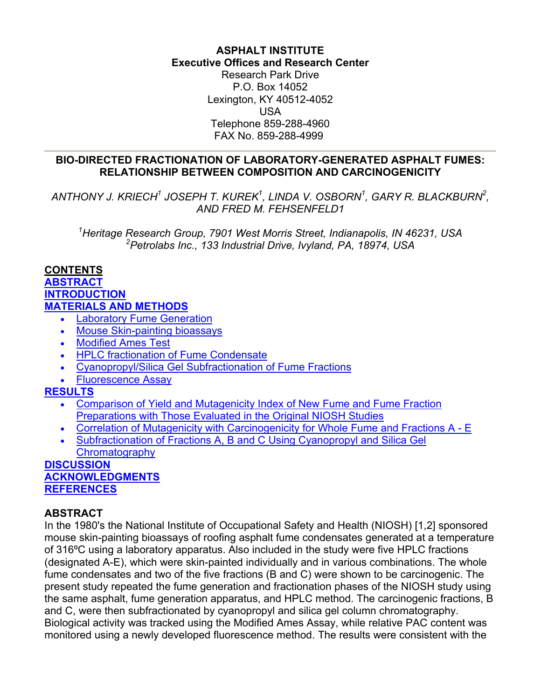# **ASPHALT INSTITUTE Executive Offices and Research Center**

Research Park Drive P.O. Box 14052 Lexington, KY 40512-4052 USA Telephone 859-288-4960 FAX No. 859-288-4999

## <span id="page-0-0"></span>**BIO-DIRECTED FRACTIONATION OF LABORATORY-GENERATED ASPHALT FUMES: RELATIONSHIP BETWEEN COMPOSITION AND CARCINOGENICITY**

ANTHONY J. KRIECH<sup>1</sup> JOSEPH T. KUREK<sup>1</sup>, LINDA V. OSBORN<sup>1</sup>, GARY R. BLACKBURN<sup>2</sup>, *AND FRED M. FEHSENFELD1* 

 *1 Heritage Research Group, 7901 West Morris Street, Indianapolis, IN 46231, USA 2 Petrolabs Inc., 133 Industrial Drive, Ivyland, PA, 18974, USA* 

## **CONTENTS**

# **[ABSTRACT](#page-0-0) [INTRODUCTION](#page-1-0) [MATERIALS AND METHODS](#page-2-0)**

- [Laboratory Fume Generation](#page-2-0)
- [Mouse Skin-painting bioassays](#page-2-0)
- [Modified Ames Test](#page-2-0)
- [HPLC fractionation of Fume Condensate](#page-2-0)
- [Cyanopropyl/Silica Gel Subfractionation of Fume Fractions](#page-2-0)
- [Fluorescence Assay](#page-2-0)

# **[RESULTS](#page-3-0)**

- [Comparison of Yield and Mutagenicity Index of New Fume and Fume Fraction](#page-3-0)  [Preparations with Those Evaluated in the Original NIOSH Studies](#page-3-0)
- [Correlation of Mutagenicity with Carcinogenicity for Whole Fume and Fractions A E](#page-4-0)
- [Subfractionation of Fractions A, B and C Using Cyanopropyl and Silica Gel](#page-5-0)  **[Chromatography](#page-5-0)**

#### **[DISCUSSION](#page-6-0) [ACKNOWLEDGMENTS](#page-7-0) [REFERENCES](#page-8-0)**

# **ABSTRACT**

In the 1980's the National Institute of Occupational Safety and Health (NIOSH) [1,2] sponsored mouse skin-painting bioassays of roofing asphalt fume condensates generated at a temperature of 316ºC using a laboratory apparatus. Also included in the study were five HPLC fractions (designated A-E), which were skin-painted individually and in various combinations. The whole fume condensates and two of the five fractions (B and C) were shown to be carcinogenic. The present study repeated the fume generation and fractionation phases of the NIOSH study using the same asphalt, fume generation apparatus, and HPLC method. The carcinogenic fractions, B and C, were then subfractionated by cyanopropyl and silica gel column chromatography. Biological activity was tracked using the Modified Ames Assay, while relative PAC content was monitored using a newly developed fluorescence method. The results were consistent with the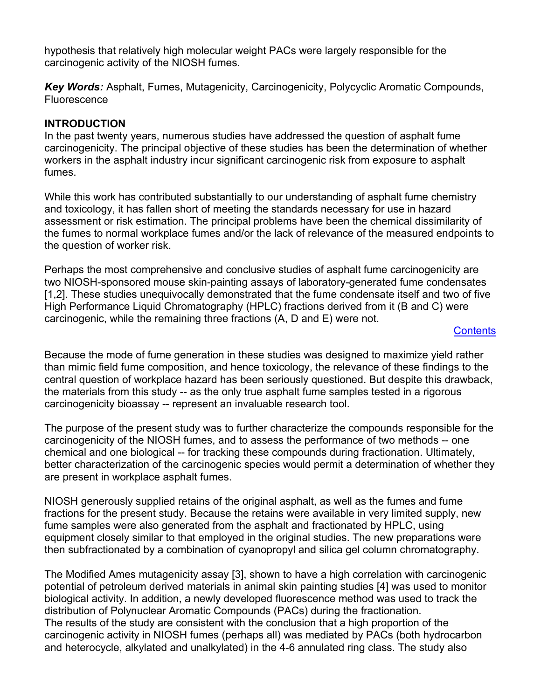<span id="page-1-0"></span>hypothesis that relatively high molecular weight PACs were largely responsible for the carcinogenic activity of the NIOSH fumes.

*Key Words:* Asphalt, Fumes, Mutagenicity, Carcinogenicity, Polycyclic Aromatic Compounds, Fluorescence

## **INTRODUCTION**

In the past twenty years, numerous studies have addressed the question of asphalt fume carcinogenicity. The principal objective of these studies has been the determination of whether workers in the asphalt industry incur significant carcinogenic risk from exposure to asphalt fumes.

While this work has contributed substantially to our understanding of asphalt fume chemistry and toxicology, it has fallen short of meeting the standards necessary for use in hazard assessment or risk estimation. The principal problems have been the chemical dissimilarity of the fumes to normal workplace fumes and/or the lack of relevance of the measured endpoints to the question of worker risk.

Perhaps the most comprehensive and conclusive studies of asphalt fume carcinogenicity are two NIOSH-sponsored mouse skin-painting assays of laboratory-generated fume condensates [1,2]. These studies unequivocally demonstrated that the fume condensate itself and two of five High Performance Liquid Chromatography (HPLC) fractions derived from it (B and C) were carcinogenic, while the remaining three fractions (A, D and E) were not.

## **[Contents](#page-0-0)**

Because the mode of fume generation in these studies was designed to maximize yield rather than mimic field fume composition, and hence toxicology, the relevance of these findings to the central question of workplace hazard has been seriously questioned. But despite this drawback, the materials from this study -- as the only true asphalt fume samples tested in a rigorous carcinogenicity bioassay -- represent an invaluable research tool.

The purpose of the present study was to further characterize the compounds responsible for the carcinogenicity of the NIOSH fumes, and to assess the performance of two methods -- one chemical and one biological -- for tracking these compounds during fractionation. Ultimately, better characterization of the carcinogenic species would permit a determination of whether they are present in workplace asphalt fumes.

NIOSH generously supplied retains of the original asphalt, as well as the fumes and fume fractions for the present study. Because the retains were available in very limited supply, new fume samples were also generated from the asphalt and fractionated by HPLC, using equipment closely similar to that employed in the original studies. The new preparations were then subfractionated by a combination of cyanopropyl and silica gel column chromatography.

The Modified Ames mutagenicity assay [3], shown to have a high correlation with carcinogenic potential of petroleum derived materials in animal skin painting studies [4] was used to monitor biological activity. In addition, a newly developed fluorescence method was used to track the distribution of Polynuclear Aromatic Compounds (PACs) during the fractionation. The results of the study are consistent with the conclusion that a high proportion of the carcinogenic activity in NIOSH fumes (perhaps all) was mediated by PACs (both hydrocarbon and heterocycle, alkylated and unalkylated) in the 4-6 annulated ring class. The study also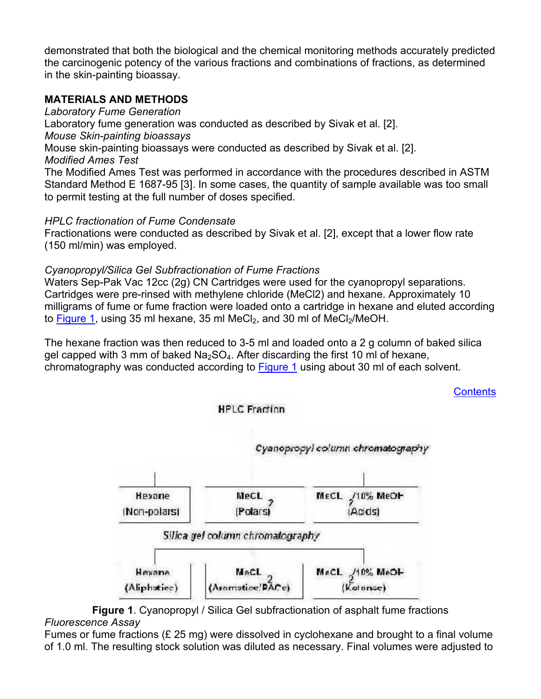<span id="page-2-0"></span>demonstrated that both the biological and the chemical monitoring methods accurately predicted the carcinogenic potency of the various fractions and combinations of fractions, as determined in the skin-painting bioassay.

# **MATERIALS AND METHODS**

*Laboratory Fume Generation*  Laboratory fume generation was conducted as described by Sivak et al. [2]. *Mouse Skin-painting bioassays*  Mouse skin-painting bioassays were conducted as described by Sivak et al. [2]. *Modified Ames Test* The Modified Ames Test was performed in accordance with the procedures described in ASTM Standard Method E 1687-95 [3]. In some cases, the quantity of sample available was too small to permit testing at the full number of doses specified.

# *HPLC fractionation of Fume Condensate*

Fractionations were conducted as described by Sivak et al. [2], except that a lower flow rate (150 ml/min) was employed.

## *Cyanopropyl/Silica Gel Subfractionation of Fume Fractions*

Waters Sep-Pak Vac 12cc (2g) CN Cartridges were used for the cyanopropyl separations. Cartridges were pre-rinsed with methylene chloride (MeCl2) and hexane. Approximately 10 milligrams of fume or fume fraction were loaded onto a cartridge in hexane and eluted according to [Figure 1,](#page-2-0) using 35 ml hexane, 35 ml MeCl<sub>2</sub>, and 30 ml of MeCl<sub>2</sub>/MeOH.

The hexane fraction was then reduced to 3-5 ml and loaded onto a 2 g column of baked silica gel capped with 3 mm of baked  $Na<sub>2</sub>SO<sub>4</sub>$ . After discarding the first 10 ml of hexane, chromatography was conducted according to [Figure](#page-2-0) 1 using about 30 ml of each solvent.

**[Contents](#page-0-0)** 







**Figure 1**. Cyanopropyl / Silica Gel subfractionation of asphalt fume fractions *Fluorescence Assay* 

Fumes or fume fractions (£ 25 mg) were dissolved in cyclohexane and brought to a final volume of 1.0 ml. The resulting stock solution was diluted as necessary. Final volumes were adjusted to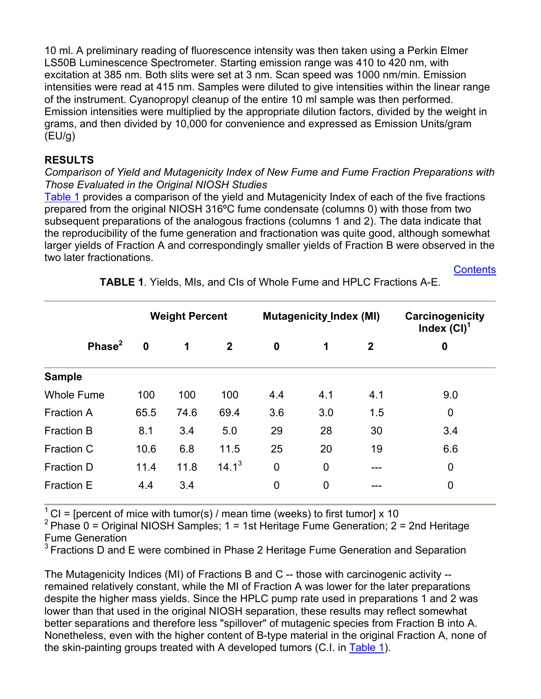<span id="page-3-0"></span>10 ml. A preliminary reading of fluorescence intensity was then taken using a Perkin Elmer LS50B Luminescence Spectrometer. Starting emission range was 410 to 420 nm, with excitation at 385 nm. Both slits were set at 3 nm. Scan speed was 1000 nm/min. Emission intensities were read at 415 nm. Samples were diluted to give intensities within the linear range of the instrument. Cyanopropyl cleanup of the entire 10 ml sample was then performed. Emission intensities were multiplied by the appropriate dilution factors, divided by the weight in grams, and then divided by 10,000 for convenience and expressed as Emission Units/gram  $(EU/q)$ 

# **RESULTS**

#### *Comparison of Yield and Mutagenicity Index of New Fume and Fume Fraction Preparations with Those Evaluated in the Original NIOSH Studies*

[Table 1](#page-3-0) provides a comparison of the yield and Mutagenicity Index of each of the five fractions prepared from the original NIOSH 316ºC fume condensate (columns 0) with those from two subsequent preparations of the analogous fractions (columns 1 and 2). The data indicate that the reproducibility of the fume generation and fractionation was quite good, although somewhat larger yields of Fraction A and correspondingly smaller yields of Fraction B were observed in the two later fractionations.

**[Contents](#page-0-0)** 

|                   | <b>Weight Percent</b> |      |              | <b>Mutagenicity Index (MI)</b> |             |              | Carcinogenicity<br>Index $(Cl)1$ |  |
|-------------------|-----------------------|------|--------------|--------------------------------|-------------|--------------|----------------------------------|--|
| Phase $2$         | $\mathbf 0$           | 1    | $\mathbf{2}$ | $\boldsymbol{0}$               | 1           | $\mathbf{2}$ | 0                                |  |
| <b>Sample</b>     |                       |      |              |                                |             |              |                                  |  |
| <b>Whole Fume</b> | 100                   | 100  | 100          | 4.4                            | 4.1         | 4.1          | 9.0                              |  |
| <b>Fraction A</b> | 65.5                  | 74.6 | 69.4         | 3.6                            | 3.0         | 1.5          | $\mathbf 0$                      |  |
| <b>Fraction B</b> | 8.1                   | 3.4  | 5.0          | 29                             | 28          | 30           | 3.4                              |  |
| <b>Fraction C</b> | 10.6                  | 6.8  | 11.5         | 25                             | 20          | 19           | 6.6                              |  |
| <b>Fraction D</b> | 11.4                  | 11.8 | $14.1^3$     | $\mathbf 0$                    | $\mathbf 0$ | ---          | 0                                |  |
| <b>Fraction E</b> | 4.4                   | 3.4  |              | $\mathbf 0$                    | $\mathbf 0$ |              | $\mathbf 0$                      |  |
|                   |                       |      |              |                                |             |              |                                  |  |

# **TABLE 1**. Yields, MIs, and CIs of Whole Fume and HPLC Fractions A-E.

 $1^{\circ}$  CI = [percent of mice with tumor(s) / mean time (weeks) to first tumor] x 10

<sup>2</sup> Phase 0 = Original NIOSH Samples; 1 = 1st Heritage Fume Generation; 2 = 2nd Heritage Fume Generation

 $3$  Fractions D and E were combined in Phase 2 Heritage Fume Generation and Separation

The Mutagenicity Indices (MI) of Fractions B and C -- those with carcinogenic activity -remained relatively constant, while the MI of Fraction A was lower for the later preparations despite the higher mass yields. Since the HPLC pump rate used in preparations 1 and 2 was lower than that used in the original NIOSH separation, these results may reflect somewhat better separations and therefore less "spillover" of mutagenic species from Fraction B into A. Nonetheless, even with the higher content of B-type material in the original Fraction A, none of the skin-painting groups treated with A developed tumors (C.I. in [Table 1](#page-3-0)).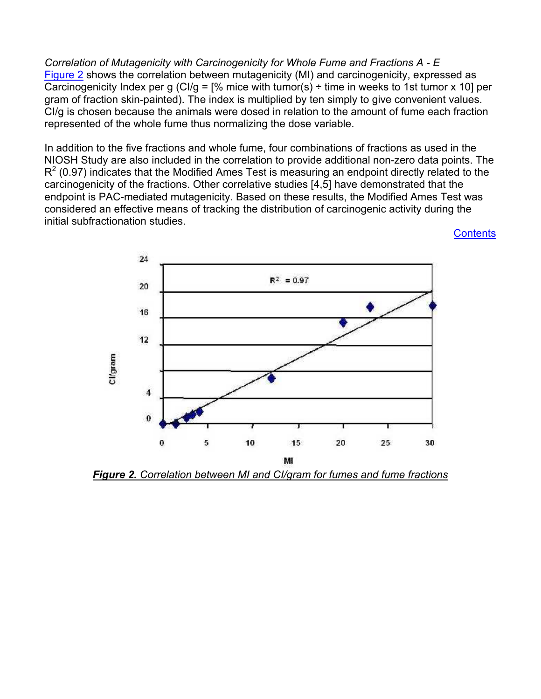<span id="page-4-0"></span>*Correlation of Mutagenicity with Carcinogenicity for Whole Fume and Fractions A - E*  [Figure 2](#page-4-0) shows the correlation between mutagenicity (MI) and carcinogenicity, expressed as Carcinogenicity Index per g (CI/g =  $\frac{1}{6}$  mice with tumor(s) ÷ time in weeks to 1st tumor x 10] per gram of fraction skin-painted). The index is multiplied by ten simply to give convenient values. CI/g is chosen because the animals were dosed in relation to the amount of fume each fraction represented of the whole fume thus normalizing the dose variable.

In addition to the five fractions and whole fume, four combinations of fractions as used in the NIOSH Study are also included in the correlation to provide additional non-zero data points. The  $R^2$  (0.97) indicates that the Modified Ames Test is measuring an endpoint directly related to the carcinogenicity of the fractions. Other correlative studies [4,5] have demonstrated that the endpoint is PAC-mediated mutagenicity. Based on these results, the Modified Ames Test was considered an effective means of tracking the distribution of carcinogenic activity during the initial subfractionation studies.

**[Contents](#page-0-0)** 



*Figure 2. Correlation between MI and CI/gram for fumes and fume fractions*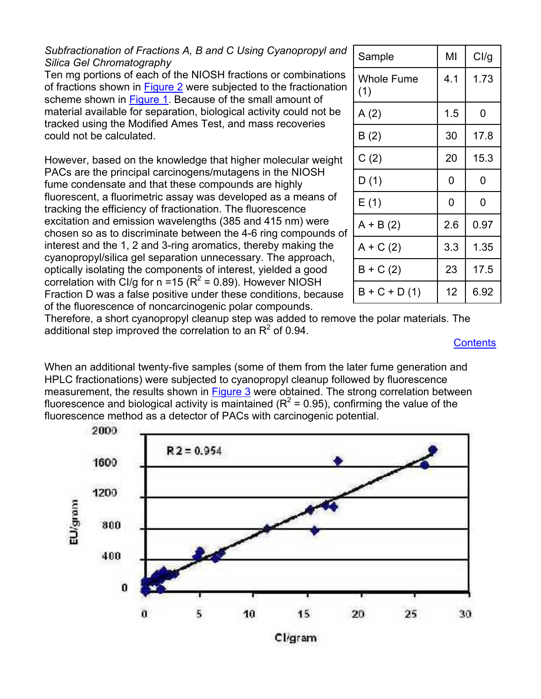# <span id="page-5-0"></span>*Subfractionation of Fractions A, B and C Using Cyanopropyl and Silica Gel Chromatography*

Ten mg portions of each of the NIOSH fractions or combinations of fractions shown in [Figure 2](#page-4-0) were subjected to the fractionation scheme shown in [Figure 1](#page-2-0). Because of the small amount of material available for separation, biological activity could not be tracked using the Modified Ames Test, and mass recoveries could not be calculated.

However, based on the knowledge that higher molecular weight PACs are the principal carcinogens/mutagens in the NIOSH fume condensate and that these compounds are highly fluorescent, a fluorimetric assay was developed as a means of tracking the efficiency of fractionation. The fluorescence excitation and emission wavelengths (385 and 415 nm) were chosen so as to discriminate between the 4-6 ring compounds of interest and the 1, 2 and 3-ring aromatics, thereby making the cyanopropyl/silica gel separation unnecessary. The approach, optically isolating the components of interest, yielded a good correlation with CI/g for  $n = 15$  ( $R^2 = 0.89$ ). However NIOSH Fraction D was a false positive under these conditions, because of the fluorescence of noncarcinogenic polar compounds.

| Sample                   | MI  | Cl/g |  |
|--------------------------|-----|------|--|
| <b>Whole Fume</b><br>(1) | 4.1 | 1.73 |  |
| A(2)                     | 1.5 | 0    |  |
| B(2)                     | 30  | 17.8 |  |
| C(2)                     | 20  | 15.3 |  |
| D(1)                     | 0   | 0    |  |
| E(1)                     | 0   | 0    |  |
| $A + B(2)$               | 2.6 | 0.97 |  |
| $A + C(2)$               | 3.3 | 1.35 |  |
| $B + C(2)$               | 23  | 17.5 |  |
| $B + C + D(1)$           | 12  | 6.92 |  |

Therefore, a short cyanopropyl cleanup step was added to remove the polar materials. The additional step improved the correlation to an  $R^2$  of 0.94.

#### **[Contents](#page-0-0)**

When an additional twenty-five samples (some of them from the later fume generation and HPLC fractionations) were subjected to cyanopropyl cleanup followed by fluorescence measurement, the results shown in **[Figure](#page-5-0) 3** were obtained. The strong correlation between fluorescence and biological activity is maintained ( $R^2$  = 0.95), confirming the value of the fluorescence method as a detector of PACs with carcinogenic potential.

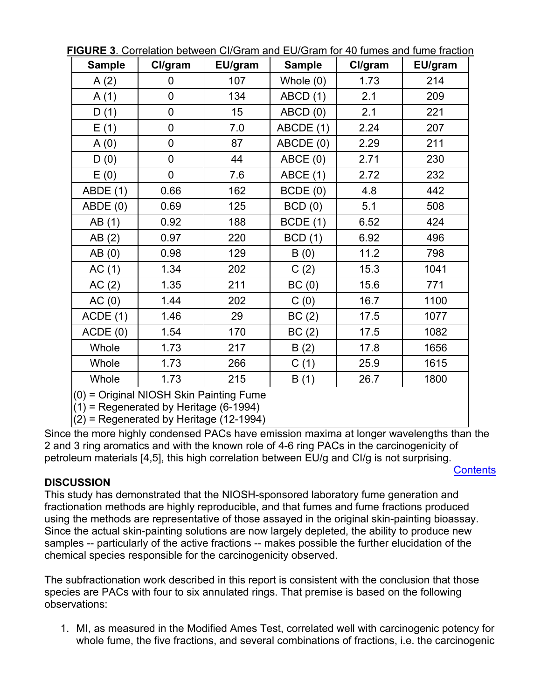| <b>Sample</b>                           | Cl/gram        | EU/gram | <b>Sample</b> | Cl/gram | EU/gram |  |  |  |
|-----------------------------------------|----------------|---------|---------------|---------|---------|--|--|--|
| A(2)                                    | 0              | 107     | Whole $(0)$   | 1.73    | 214     |  |  |  |
| A(1)                                    | $\overline{0}$ | 134     | ABCD (1)      | 2.1     | 209     |  |  |  |
| D(1)                                    | $\overline{0}$ | 15      | ABCD (0)      | 2.1     | 221     |  |  |  |
| E(1)                                    | $\mathbf 0$    | 7.0     | ABCDE (1)     | 2.24    | 207     |  |  |  |
| A(0)                                    | $\mathbf 0$    | 87      | ABCDE (0)     | 2.29    | 211     |  |  |  |
| D(0)                                    | $\mathbf 0$    | 44      | ABCE (0)      | 2.71    | 230     |  |  |  |
| E(0)                                    | $\mathbf 0$    | 7.6     | ABCE (1)      | 2.72    | 232     |  |  |  |
| ABDE (1)                                | 0.66           | 162     | BCDE(0)       | 4.8     | 442     |  |  |  |
| ABDE (0)                                | 0.69           | 125     | BCD(0)        | 5.1     | 508     |  |  |  |
| AB (1)                                  | 0.92           | 188     | BCDE(1)       | 6.52    | 424     |  |  |  |
| AB(2)                                   | 0.97           | 220     | BCD(1)        | 6.92    | 496     |  |  |  |
| AB(0)                                   | 0.98           | 129     | B(0)          | 11.2    | 798     |  |  |  |
| AC(1)                                   | 1.34           | 202     | C(2)          | 15.3    | 1041    |  |  |  |
| AC(2)                                   | 1.35           | 211     | BC(0)         | 15.6    | 771     |  |  |  |
| AC(0)                                   | 1.44           | 202     | C(0)          | 16.7    | 1100    |  |  |  |
| ACDE(1)                                 | 1.46           | 29      | BC(2)         | 17.5    | 1077    |  |  |  |
| ACDE(0)                                 | 1.54           | 170     | BC(2)         | 17.5    | 1082    |  |  |  |
| Whole                                   | 1.73           | 217     | B(2)          | 17.8    | 1656    |  |  |  |
| Whole                                   | 1.73           | 266     | C(1)          | 25.9    | 1615    |  |  |  |
| Whole                                   | 1.73           | 215     | B(1)          | 26.7    | 1800    |  |  |  |
| (0) = Original NIOSH Skin Painting Fume |                |         |               |         |         |  |  |  |

<span id="page-6-0"></span>**FIGURE 3**. Correlation between CI/Gram and EU/Gram for 40 fumes and fume fraction

(1) = Regenerated by Heritage (6-1994)

 $(2)$  = Regenerated by Heritage (12-1994)

Since the more highly condensed PACs have emission maxima at longer wavelengths than the 2 and 3 ring aromatics and with the known role of 4-6 ring PACs in the carcinogenicity of petroleum materials [4,5], this high correlation between EU/g and CI/g is not surprising.

**[Contents](#page-0-0)** 

# **DISCUSSION**

This study has demonstrated that the NIOSH-sponsored laboratory fume generation and fractionation methods are highly reproducible, and that fumes and fume fractions produced using the methods are representative of those assayed in the original skin-painting bioassay. Since the actual skin-painting solutions are now largely depleted, the ability to produce new samples -- particularly of the active fractions -- makes possible the further elucidation of the chemical species responsible for the carcinogenicity observed.

The subfractionation work described in this report is consistent with the conclusion that those species are PACs with four to six annulated rings. That premise is based on the following observations:

1. MI, as measured in the Modified Ames Test, correlated well with carcinogenic potency for whole fume, the five fractions, and several combinations of fractions, i.e. the carcinogenic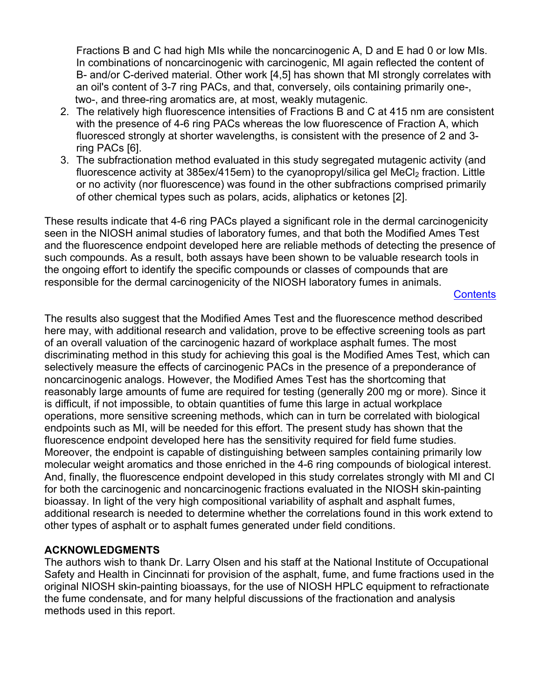<span id="page-7-0"></span>Fractions B and C had high MIs while the noncarcinogenic A, D and E had 0 or low MIs. In combinations of noncarcinogenic with carcinogenic, MI again reflected the content of B- and/or C-derived material. Other work [4,5] has shown that MI strongly correlates with an oil's content of 3-7 ring PACs, and that, conversely, oils containing primarily one-, two-, and three-ring aromatics are, at most, weakly mutagenic.

- 2. The relatively high fluorescence intensities of Fractions B and C at 415 nm are consistent with the presence of 4-6 ring PACs whereas the low fluorescence of Fraction A, which fluoresced strongly at shorter wavelengths, is consistent with the presence of 2 and 3 ring PACs [6].
- 3. The subfractionation method evaluated in this study segregated mutagenic activity (and fluorescence activity at 385ex/415em) to the cyanopropyl/silica gel MeCl<sub>2</sub> fraction. Little or no activity (nor fluorescence) was found in the other subfractions comprised primarily of other chemical types such as polars, acids, aliphatics or ketones [2].

These results indicate that 4-6 ring PACs played a significant role in the dermal carcinogenicity seen in the NIOSH animal studies of laboratory fumes, and that both the Modified Ames Test and the fluorescence endpoint developed here are reliable methods of detecting the presence of such compounds. As a result, both assays have been shown to be valuable research tools in the ongoing effort to identify the specific compounds or classes of compounds that are responsible for the dermal carcinogenicity of the NIOSH laboratory fumes in animals.

#### **[Contents](#page-0-0)**

The results also suggest that the Modified Ames Test and the fluorescence method described here may, with additional research and validation, prove to be effective screening tools as part of an overall valuation of the carcinogenic hazard of workplace asphalt fumes. The most discriminating method in this study for achieving this goal is the Modified Ames Test, which can selectively measure the effects of carcinogenic PACs in the presence of a preponderance of noncarcinogenic analogs. However, the Modified Ames Test has the shortcoming that reasonably large amounts of fume are required for testing (generally 200 mg or more). Since it is difficult, if not impossible, to obtain quantities of fume this large in actual workplace operations, more sensitive screening methods, which can in turn be correlated with biological endpoints such as MI, will be needed for this effort. The present study has shown that the fluorescence endpoint developed here has the sensitivity required for field fume studies. Moreover, the endpoint is capable of distinguishing between samples containing primarily low molecular weight aromatics and those enriched in the 4-6 ring compounds of biological interest. And, finally, the fluorescence endpoint developed in this study correlates strongly with MI and CI for both the carcinogenic and noncarcinogenic fractions evaluated in the NIOSH skin-painting bioassay. In light of the very high compositional variability of asphalt and asphalt fumes, additional research is needed to determine whether the correlations found in this work extend to other types of asphalt or to asphalt fumes generated under field conditions.

# **ACKNOWLEDGMENTS**

The authors wish to thank Dr. Larry Olsen and his staff at the National Institute of Occupational Safety and Health in Cincinnati for provision of the asphalt, fume, and fume fractions used in the original NIOSH skin-painting bioassays, for the use of NIOSH HPLC equipment to refractionate the fume condensate, and for many helpful discussions of the fractionation and analysis methods used in this report.